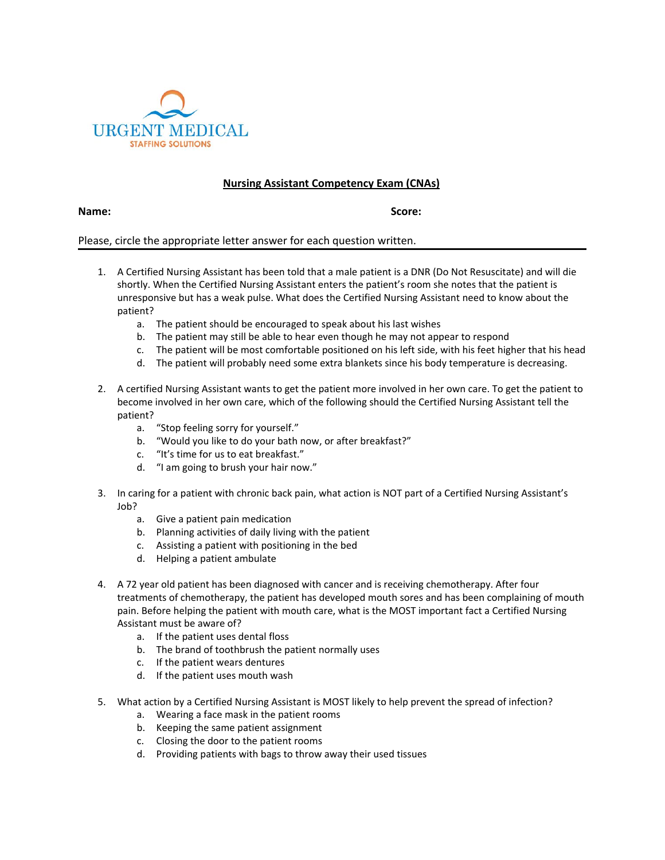

## **Nursing Assistant Competency Exam (CNAs)**

**Name: Score:**

Please, circle the appropriate letter answer for each question written.

- 1. A Certified Nursing Assistant has been told that a male patient is a DNR (Do Not Resuscitate) and will die shortly. When the Certified Nursing Assistant enters the patient's room she notes that the patient is unresponsive but has a weak pulse. What does the Certified Nursing Assistant need to know about the patient?
	- a. The patient should be encouraged to speak about his last wishes
	- b. The patient may still be able to hear even though he may not appear to respond
	- c. The patient will be most comfortable positioned on his left side, with his feet higher that his head
	- d. The patient will probably need some extra blankets since his body temperature is decreasing.
- 2. A certified Nursing Assistant wants to get the patient more involved in her own care. To get the patient to become involved in her own care, which of the following should the Certified Nursing Assistant tell the patient?
	- a. "Stop feeling sorry for yourself."
	- b. "Would you like to do your bath now, or after breakfast?"
	- c. "It's time for us to eat breakfast."
	- d. "I am going to brush your hair now."
- 3. In caring for a patient with chronic back pain, what action is NOT part of a Certified Nursing Assistant's Job?
	- a. Give a patient pain medication
	- b. Planning activities of daily living with the patient
	- c. Assisting a patient with positioning in the bed
	- d. Helping a patient ambulate
- 4. A 72 year old patient has been diagnosed with cancer and is receiving chemotherapy. After four treatments of chemotherapy, the patient has developed mouth sores and has been complaining of mouth pain. Before helping the patient with mouth care, what is the MOST important fact a Certified Nursing Assistant must be aware of?
	- a. If the patient uses dental floss
	- b. The brand of toothbrush the patient normally uses
	- c. If the patient wears dentures
	- d. If the patient uses mouth wash
- 5. What action by a Certified Nursing Assistant is MOST likely to help prevent the spread of infection?
	- a. Wearing a face mask in the patient rooms
	- b. Keeping the same patient assignment
	- c. Closing the door to the patient rooms
	- d. Providing patients with bags to throw away their used tissues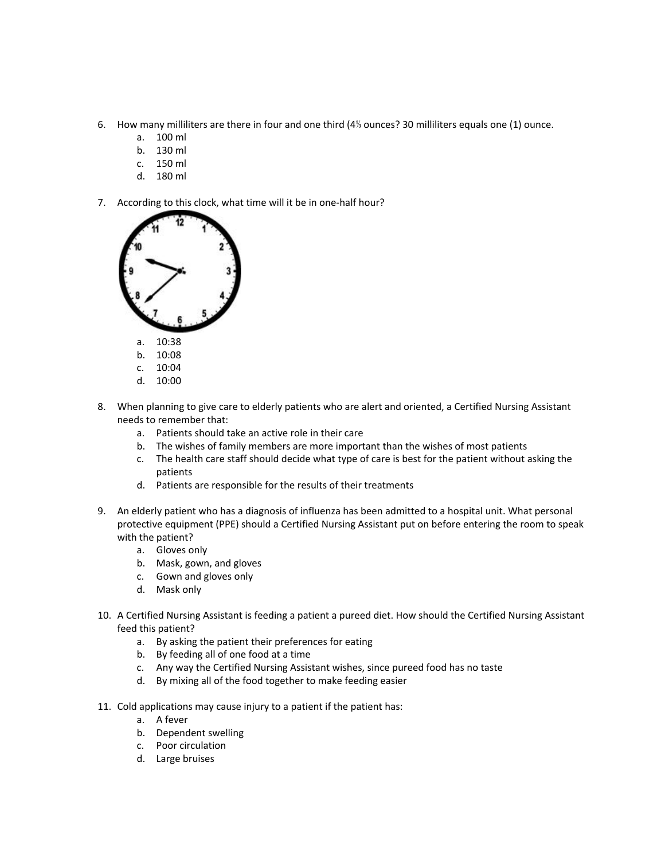- 6. How many milliliters are there in four and one third (4⅓ ounces? 30 milliliters equals one (1) ounce.
	- a. 100 ml
	- b. 130 ml
	- c. 150 ml
	- d. 180 ml
- 7. According to this clock, what time will it be in one-half hour?



- 8. When planning to give care to elderly patients who are alert and oriented, a Certified Nursing Assistant needs to remember that:
	- a. Patients should take an active role in their care
	- b. The wishes of family members are more important than the wishes of most patients
	- c. The health care staff should decide what type of care is best for the patient without asking the patients
	- d. Patients are responsible for the results of their treatments
- 9. An elderly patient who has a diagnosis of influenza has been admitted to a hospital unit. What personal protective equipment (PPE) should a Certified Nursing Assistant put on before entering the room to speak with the patient?
	- a. Gloves only
	- b. Mask, gown, and gloves
	- c. Gown and gloves only
	- d. Mask only
- 10. A Certified Nursing Assistant is feeding a patient a pureed diet. How should the Certified Nursing Assistant feed this patient?
	- a. By asking the patient their preferences for eating
	- b. By feeding all of one food at a time
	- c. Any way the Certified Nursing Assistant wishes, since pureed food has no taste
	- d. By mixing all of the food together to make feeding easier
- 11. Cold applications may cause injury to a patient if the patient has:
	- a. A fever
	- b. Dependent swelling
	- c. Poor circulation
	- d. Large bruises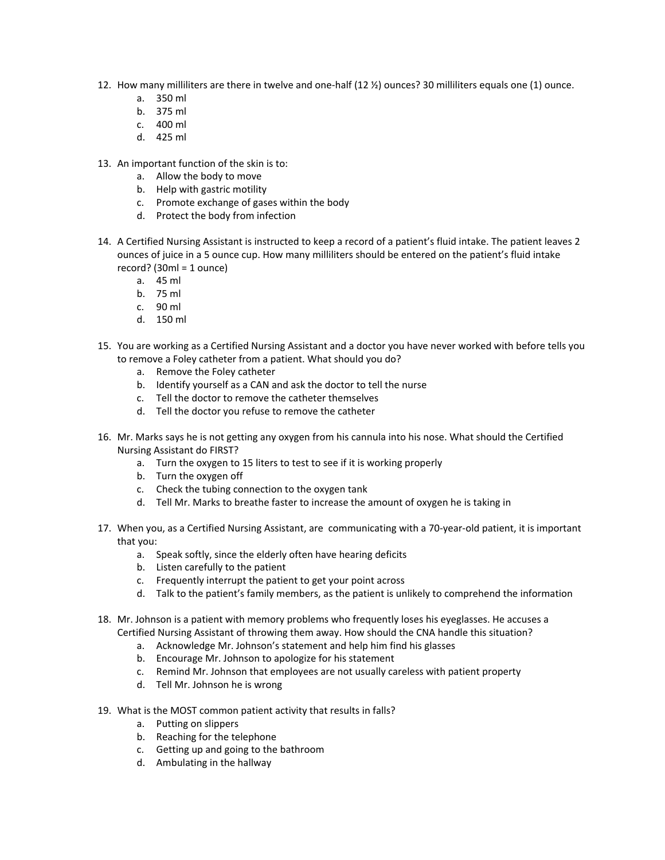- 12. How many milliliters are there in twelve and one-half (12 ½) ounces? 30 milliliters equals one (1) ounce.
	- a. 350 ml
	- b. 375 ml
	- c. 400 ml
	- d. 425 ml
- 13. An important function of the skin is to:
	- a. Allow the body to move
	- b. Help with gastric motility
	- c. Promote exchange of gases within the body
	- d. Protect the body from infection
- 14. A Certified Nursing Assistant is instructed to keep a record of a patient's fluid intake. The patient leaves 2 ounces of juice in a 5 ounce cup. How many milliliters should be entered on the patient's fluid intake record? (30ml = 1 ounce)
	- a. 45 ml
	- b. 75 ml
	- c. 90 ml
	- d. 150 ml
- 15. You are working as a Certified Nursing Assistant and a doctor you have never worked with before tells you to remove a Foley catheter from a patient. What should you do?
	- a. Remove the Foley catheter
	- b. Identify yourself as a CAN and ask the doctor to tell the nurse
	- c. Tell the doctor to remove the catheter themselves
	- d. Tell the doctor you refuse to remove the catheter
- 16. Mr. Marks says he is not getting any oxygen from his cannula into his nose. What should the Certified Nursing Assistant do FIRST?
	- a. Turn the oxygen to 15 liters to test to see if it is working properly
	- b. Turn the oxygen off
	- c. Check the tubing connection to the oxygen tank
	- d. Tell Mr. Marks to breathe faster to increase the amount of oxygen he is taking in
- 17. When you, as a Certified Nursing Assistant, are communicating with a 70-year-old patient, it is important that you:
	- a. Speak softly, since the elderly often have hearing deficits
	- b. Listen carefully to the patient
	- c. Frequently interrupt the patient to get your point across
	- d. Talk to the patient's family members, as the patient is unlikely to comprehend the information
- 18. Mr. Johnson is a patient with memory problems who frequently loses his eyeglasses. He accuses a Certified Nursing Assistant of throwing them away. How should the CNA handle this situation?
	- a. Acknowledge Mr. Johnson's statement and help him find his glasses
	- b. Encourage Mr. Johnson to apologize for his statement
	- c. Remind Mr. Johnson that employees are not usually careless with patient property
	- d. Tell Mr. Johnson he is wrong
- 19. What is the MOST common patient activity that results in falls?
	- a. Putting on slippers
	- b. Reaching for the telephone
	- c. Getting up and going to the bathroom
	- d. Ambulating in the hallway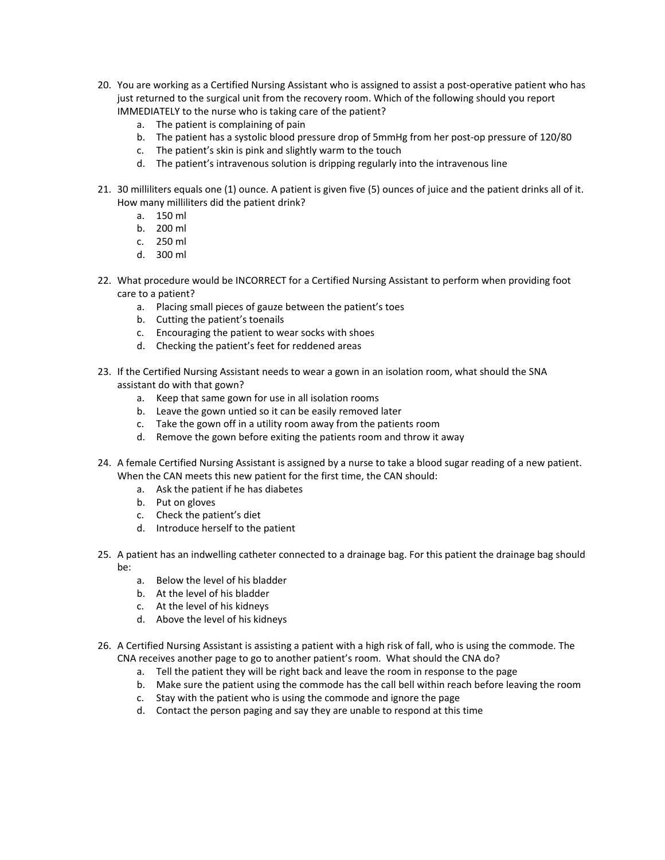- 20. You are working as a Certified Nursing Assistant who is assigned to assist a post-operative patient who has just returned to the surgical unit from the recovery room. Which of the following should you report IMMEDIATELY to the nurse who is taking care of the patient?
	- a. The patient is complaining of pain
	- b. The patient has a systolic blood pressure drop of 5mmHg from her post-op pressure of 120/80
	- c. The patient's skin is pink and slightly warm to the touch
	- d. The patient's intravenous solution is dripping regularly into the intravenous line
- 21. 30 milliliters equals one (1) ounce. A patient is given five (5) ounces of juice and the patient drinks all of it. How many milliliters did the patient drink?
	- a. 150 ml
	- b. 200 ml
	- c. 250 ml
	- d. 300 ml
- 22. What procedure would be INCORRECT for a Certified Nursing Assistant to perform when providing foot care to a patient?
	- a. Placing small pieces of gauze between the patient's toes
	- b. Cutting the patient's toenails
	- c. Encouraging the patient to wear socks with shoes
	- d. Checking the patient's feet for reddened areas
- 23. If the Certified Nursing Assistant needs to wear a gown in an isolation room, what should the SNA assistant do with that gown?
	- a. Keep that same gown for use in all isolation rooms
	- b. Leave the gown untied so it can be easily removed later
	- c. Take the gown off in a utility room away from the patients room
	- d. Remove the gown before exiting the patients room and throw it away
- 24. A female Certified Nursing Assistant is assigned by a nurse to take a blood sugar reading of a new patient. When the CAN meets this new patient for the first time, the CAN should:
	- a. Ask the patient if he has diabetes
	- b. Put on gloves
	- c. Check the patient's diet
	- d. Introduce herself to the patient
- 25. A patient has an indwelling catheter connected to a drainage bag. For this patient the drainage bag should be:
	- a. Below the level of his bladder
	- b. At the level of his bladder
	- c. At the level of his kidneys
	- d. Above the level of his kidneys
- 26. A Certified Nursing Assistant is assisting a patient with a high risk of fall, who is using the commode. The CNA receives another page to go to another patient's room. What should the CNA do?
	- a. Tell the patient they will be right back and leave the room in response to the page
	- b. Make sure the patient using the commode has the call bell within reach before leaving the room
	- c. Stay with the patient who is using the commode and ignore the page
	- d. Contact the person paging and say they are unable to respond at this time